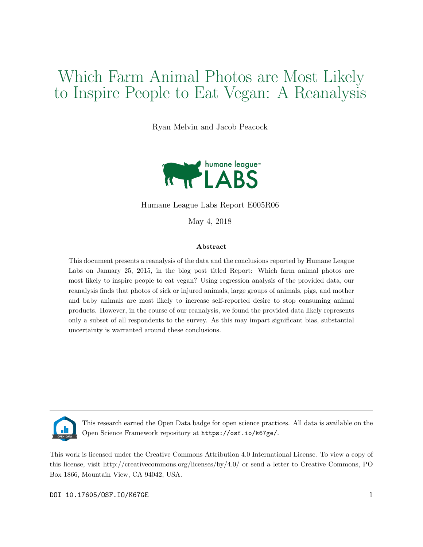# Which Farm Animal Photos are Most Likely to Inspire People to Eat Vegan: A Reanalysis

Ryan Melvin and Jacob Peacock



Humane League Labs Report E005R06

May 4, 2018

#### Abstract

This document presents a reanalysis of the data and the conclusions reported by Humane League Labs on January 25, 2015, in the blog post titled Report: Which farm animal photos are most likely to inspire people to eat vegan? Using regression analysis of the provided data, our reanalysis finds that photos of sick or injured animals, large groups of animals, pigs, and mother and baby animals are most likely to increase self-reported desire to stop consuming animal products. However, in the course of our reanalysis, we found the provided data likely represents only a subset of all respondents to the survey. As this may impart significant bias, substantial uncertainty is warranted around these conclusions.



This research earned the Open Data badge for open science practices. All data is available on the Open Science Framework repository at https://osf.io/k67ge/.

This work is licensed under the Creative Commons Attribution 4.0 International License. To view a copy of this license, visit http://creativecommons.org/licenses/by/4.0/ or send a letter to Creative Commons, PO Box 1866, Mountain View, CA 94042, USA.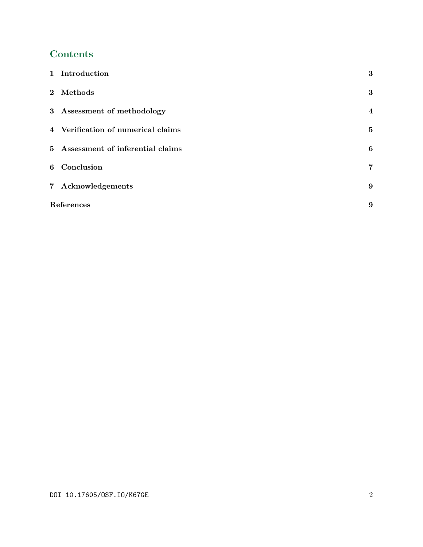## Contents

| 1 Introduction                     | 3              |  |
|------------------------------------|----------------|--|
| 2 Methods                          | 3              |  |
| 3 Assessment of methodology        | $\overline{4}$ |  |
| 4 Verification of numerical claims | $\bf{5}$       |  |
| 5 Assessment of inferential claims | 6              |  |
| 6 Conclusion                       | 7              |  |
| 7 Acknowledgements                 | 9              |  |
| References                         |                |  |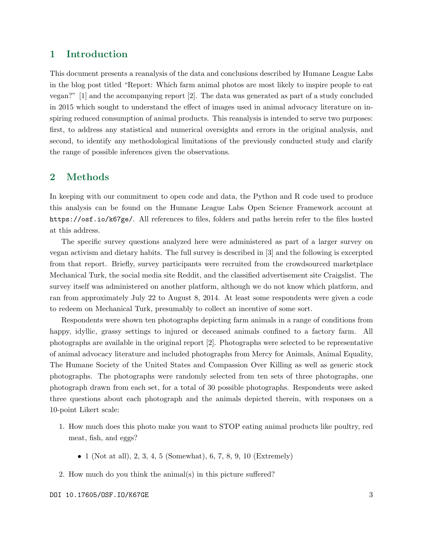#### 1 Introduction

This document presents a reanalysis of the data and conclusions described by Humane League Labs in the blog post titled "Report: Which farm animal photos are most likely to inspire people to eat vegan?" [1] and the accompanying report [2]. The data was generated as part of a study concluded in 2015 which sought to understand the effect of images used in animal advocacy literature on inspiring reduced consumption of animal products. This reanalysis is intended to serve two purposes: first, to address any statistical and numerical oversights and errors in the original analysis, and second, to identify any methodological limitations of the previously conducted study and clarify the range of possible inferences given the observations.

#### 2 Methods

In keeping with our commitment to open code and data, the Python and R code used to produce this analysis can be found on the Humane League Labs Open Science Framework account at https://osf.io/k67ge/. All references to files, folders and paths herein refer to the files hosted at this address.

The specific survey questions analyzed here were administered as part of a larger survey on vegan activism and dietary habits. The full survey is described in [3] and the following is excerpted from that report. Briefly, survey participants were recruited from the crowdsourced marketplace Mechanical Turk, the social media site Reddit, and the classified advertisement site Craigslist. The survey itself was administered on another platform, although we do not know which platform, and ran from approximately July 22 to August 8, 2014. At least some respondents were given a code to redeem on Mechanical Turk, presumably to collect an incentive of some sort.

Respondents were shown ten photographs depicting farm animals in a range of conditions from happy, idyllic, grassy settings to injured or deceased animals confined to a factory farm. All photographs are available in the original report [2]. Photographs were selected to be representative of animal advocacy literature and included photographs from Mercy for Animals, Animal Equality, The Humane Society of the United States and Compassion Over Killing as well as generic stock photographs. The photographs were randomly selected from ten sets of three photographs, one photograph drawn from each set, for a total of 30 possible photographs. Respondents were asked three questions about each photograph and the animals depicted therein, with responses on a 10-point Likert scale:

- 1. How much does this photo make you want to STOP eating animal products like poultry, red meat, fish, and eggs?
	- 1 (Not at all), 2, 3, 4, 5 (Somewhat), 6, 7, 8, 9, 10 (Extremely)
- 2. How much do you think the animal(s) in this picture suffered?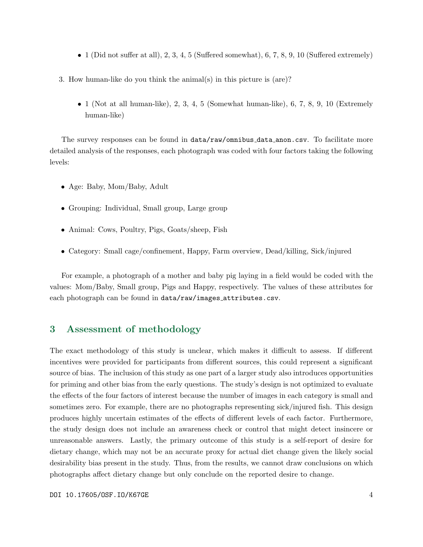- 1 (Did not suffer at all), 2, 3, 4, 5 (Suffered somewhat), 6, 7, 8, 9, 10 (Suffered extremely)
- 3. How human-like do you think the animal(s) in this picture is (are)?
	- $\bullet$  1 (Not at all human-like), 2, 3, 4, 5 (Somewhat human-like), 6, 7, 8, 9, 10 (Extremely human-like)

The survey responses can be found in data/raw/omnibus data anon.csv. To facilitate more detailed analysis of the responses, each photograph was coded with four factors taking the following levels:

- Age: Baby, Mom/Baby, Adult
- Grouping: Individual, Small group, Large group
- Animal: Cows, Poultry, Pigs, Goats/sheep, Fish
- Category: Small cage/confinement, Happy, Farm overview, Dead/killing, Sick/injured

For example, a photograph of a mother and baby pig laying in a field would be coded with the values: Mom/Baby, Small group, Pigs and Happy, respectively. The values of these attributes for each photograph can be found in data/raw/images\_attributes.csv.

#### 3 Assessment of methodology

The exact methodology of this study is unclear, which makes it difficult to assess. If different incentives were provided for participants from different sources, this could represent a significant source of bias. The inclusion of this study as one part of a larger study also introduces opportunities for priming and other bias from the early questions. The study's design is not optimized to evaluate the effects of the four factors of interest because the number of images in each category is small and sometimes zero. For example, there are no photographs representing sick/injured fish. This design produces highly uncertain estimates of the effects of different levels of each factor. Furthermore, the study design does not include an awareness check or control that might detect insincere or unreasonable answers. Lastly, the primary outcome of this study is a self-report of desire for dietary change, which may not be an accurate proxy for actual diet change given the likely social desirability bias present in the study. Thus, from the results, we cannot draw conclusions on which photographs affect dietary change but only conclude on the reported desire to change.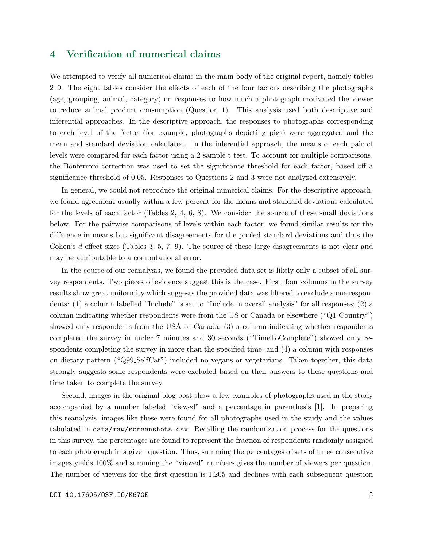#### 4 Verification of numerical claims

We attempted to verify all numerical claims in the main body of the original report, namely tables 2–9. The eight tables consider the effects of each of the four factors describing the photographs (age, grouping, animal, category) on responses to how much a photograph motivated the viewer to reduce animal product consumption (Question 1). This analysis used both descriptive and inferential approaches. In the descriptive approach, the responses to photographs corresponding to each level of the factor (for example, photographs depicting pigs) were aggregated and the mean and standard deviation calculated. In the inferential approach, the means of each pair of levels were compared for each factor using a 2-sample t-test. To account for multiple comparisons, the Bonferroni correction was used to set the significance threshold for each factor, based off a significance threshold of 0.05. Responses to Questions 2 and 3 were not analyzed extensively.

In general, we could not reproduce the original numerical claims. For the descriptive approach, we found agreement usually within a few percent for the means and standard deviations calculated for the levels of each factor (Tables  $2, 4, 6, 8$ ). We consider the source of these small deviations below. For the pairwise comparisons of levels within each factor, we found similar results for the difference in means but significant disagreements for the pooled standard deviations and thus the Cohen's d effect sizes (Tables 3, 5, 7, 9). The source of these large disagreements is not clear and may be attributable to a computational error.

In the course of our reanalysis, we found the provided data set is likely only a subset of all survey respondents. Two pieces of evidence suggest this is the case. First, four columns in the survey results show great uniformity which suggests the provided data was filtered to exclude some respondents: (1) a column labelled "Include" is set to "Include in overall analysis" for all responses; (2) a column indicating whether respondents were from the US or Canada or elsewhere ("Q1 Country") showed only respondents from the USA or Canada; (3) a column indicating whether respondents completed the survey in under 7 minutes and 30 seconds ("TimeToComplete") showed only respondents completing the survey in more than the specified time; and (4) a column with responses on dietary pattern ("Q99 SelfCat") included no vegans or vegetarians. Taken together, this data strongly suggests some respondents were excluded based on their answers to these questions and time taken to complete the survey.

Second, images in the original blog post show a few examples of photographs used in the study accompanied by a number labeled "viewed" and a percentage in parenthesis [1]. In preparing this reanalysis, images like these were found for all photographs used in the study and the values tabulated in data/raw/screenshots.csv. Recalling the randomization process for the questions in this survey, the percentages are found to represent the fraction of respondents randomly assigned to each photograph in a given question. Thus, summing the percentages of sets of three consecutive images yields 100% and summing the "viewed" numbers gives the number of viewers per question. The number of viewers for the first question is 1,205 and declines with each subsequent question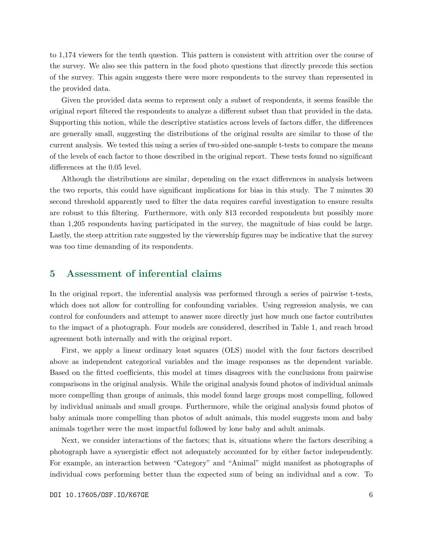to 1,174 viewers for the tenth question. This pattern is consistent with attrition over the course of the survey. We also see this pattern in the food photo questions that directly precede this section of the survey. This again suggests there were more respondents to the survey than represented in the provided data.

Given the provided data seems to represent only a subset of respondents, it seems feasible the original report filtered the respondents to analyze a different subset than that provided in the data. Supporting this notion, while the descriptive statistics across levels of factors differ, the differences are generally small, suggesting the distributions of the original results are similar to those of the current analysis. We tested this using a series of two-sided one-sample t-tests to compare the means of the levels of each factor to those described in the original report. These tests found no significant differences at the 0.05 level.

Although the distributions are similar, depending on the exact differences in analysis between the two reports, this could have significant implications for bias in this study. The 7 minutes 30 second threshold apparently used to filter the data requires careful investigation to ensure results are robust to this filtering. Furthermore, with only 813 recorded respondents but possibly more than 1,205 respondents having participated in the survey, the magnitude of bias could be large. Lastly, the steep attrition rate suggested by the viewership figures may be indicative that the survey was too time demanding of its respondents.

#### 5 Assessment of inferential claims

In the original report, the inferential analysis was performed through a series of pairwise t-tests, which does not allow for controlling for confounding variables. Using regression analysis, we can control for confounders and attempt to answer more directly just how much one factor contributes to the impact of a photograph. Four models are considered, described in Table 1, and reach broad agreement both internally and with the original report.

First, we apply a linear ordinary least squares (OLS) model with the four factors described above as independent categorical variables and the image responses as the dependent variable. Based on the fitted coefficients, this model at times disagrees with the conclusions from pairwise comparisons in the original analysis. While the original analysis found photos of individual animals more compelling than groups of animals, this model found large groups most compelling, followed by individual animals and small groups. Furthermore, while the original analysis found photos of baby animals more compelling than photos of adult animals, this model suggests mom and baby animals together were the most impactful followed by lone baby and adult animals.

Next, we consider interactions of the factors; that is, situations where the factors describing a photograph have a synergistic effect not adequately accounted for by either factor independently. For example, an interaction between "Category" and "Animal" might manifest as photographs of individual cows performing better than the expected sum of being an individual and a cow. To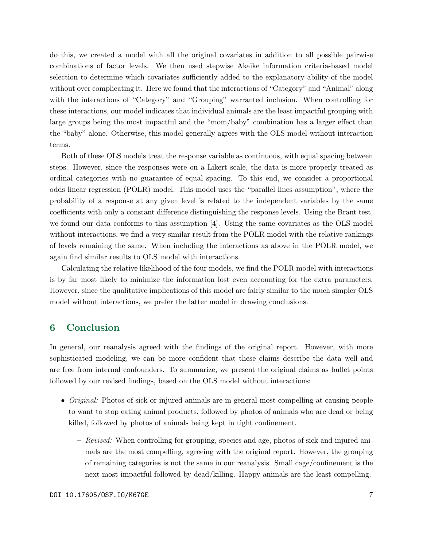do this, we created a model with all the original covariates in addition to all possible pairwise combinations of factor levels. We then used stepwise Akaike information criteria-based model selection to determine which covariates sufficiently added to the explanatory ability of the model without over complicating it. Here we found that the interactions of "Category" and "Animal" along with the interactions of "Category" and "Grouping" warranted inclusion. When controlling for these interactions, our model indicates that individual animals are the least impactful grouping with large groups being the most impactful and the "mom/baby" combination has a larger effect than the "baby" alone. Otherwise, this model generally agrees with the OLS model without interaction terms.

Both of these OLS models treat the response variable as continuous, with equal spacing between steps. However, since the responses were on a Likert scale, the data is more properly treated as ordinal categories with no guarantee of equal spacing. To this end, we consider a proportional odds linear regression (POLR) model. This model uses the "parallel lines assumption", where the probability of a response at any given level is related to the independent variables by the same coefficients with only a constant difference distinguishing the response levels. Using the Brant test, we found our data conforms to this assumption [4]. Using the same covariates as the OLS model without interactions, we find a very similar result from the POLR model with the relative rankings of levels remaining the same. When including the interactions as above in the POLR model, we again find similar results to OLS model with interactions.

Calculating the relative likelihood of the four models, we find the POLR model with interactions is by far most likely to minimize the information lost even accounting for the extra parameters. However, since the qualitative implications of this model are fairly similar to the much simpler OLS model without interactions, we prefer the latter model in drawing conclusions.

### 6 Conclusion

In general, our reanalysis agreed with the findings of the original report. However, with more sophisticated modeling, we can be more confident that these claims describe the data well and are free from internal confounders. To summarize, we present the original claims as bullet points followed by our revised findings, based on the OLS model without interactions:

- *Original:* Photos of sick or injured animals are in general most compelling at causing people to want to stop eating animal products, followed by photos of animals who are dead or being killed, followed by photos of animals being kept in tight confinement.
	- Revised: When controlling for grouping, species and age, photos of sick and injured animals are the most compelling, agreeing with the original report. However, the grouping of remaining categories is not the same in our reanalysis. Small cage/confinement is the next most impactful followed by dead/killing. Happy animals are the least compelling.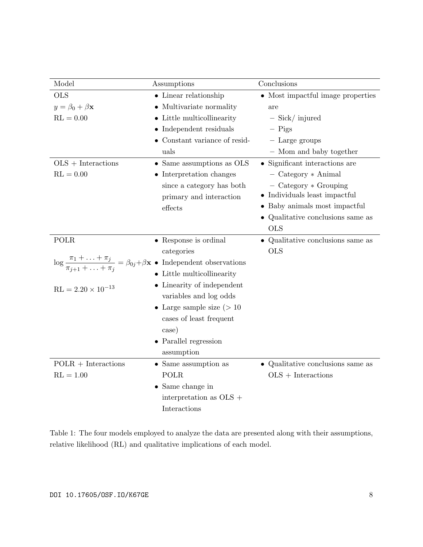| Model                       | Assumptions                                                                                                                 | Conclusions                               |
|-----------------------------|-----------------------------------------------------------------------------------------------------------------------------|-------------------------------------------|
| <b>OLS</b>                  | $\bullet$ Linear relationship                                                                                               | • Most impactful image properties         |
| $y = \beta_0 + \beta x$     | • Multivariate normality                                                                                                    | are                                       |
| $RL = 0.00$                 | • Little multicollinearity                                                                                                  | $-$ Sick/ injured                         |
|                             | $\bullet$ Independent residuals                                                                                             | $-$ Pigs                                  |
|                             | • Constant variance of resid-                                                                                               | $-$ Large groups                          |
|                             | uals                                                                                                                        | - Mom and baby together                   |
| $OLS + Interactions$        | • Same assumptions as OLS                                                                                                   | $\bullet$ Significant interactions are    |
| $RL = 0.00$                 | $\bullet$ Interpretation changes                                                                                            | $-$ Category $*$ Animal                   |
|                             | since a category has both                                                                                                   | $-$ Category $*$ Grouping                 |
|                             | primary and interaction                                                                                                     | $\bullet$ Individuals least impactful     |
|                             | ${\rm effects}$                                                                                                             | • Baby animals most impactful             |
|                             |                                                                                                                             | • Qualitative conclusions same as         |
|                             |                                                                                                                             | <b>OLS</b>                                |
| POLR                        | $\bullet$ Response is ordinal                                                                                               | $\bullet$ Qualitative conclusions same as |
|                             | categories                                                                                                                  | <b>OLS</b>                                |
|                             | $\log \frac{\pi_1 + \ldots + \pi_j}{\pi_{j+1} + \ldots + \pi_j} = \beta_{0j} + \beta \mathbf{x}$ • Independent observations |                                           |
|                             | • Little multicollinearity                                                                                                  |                                           |
| $RL = 2.20 \times 10^{-13}$ | • Linearity of independent                                                                                                  |                                           |
|                             | variables and log odds                                                                                                      |                                           |
|                             | • Large sample size $(>10$                                                                                                  |                                           |
|                             | cases of least frequent                                                                                                     |                                           |
|                             | case)                                                                                                                       |                                           |
|                             | $\bullet$ Parallel regression                                                                                               |                                           |
|                             | assumption                                                                                                                  |                                           |
| $POLR + Interactions$       | • Same assumption as                                                                                                        | $\bullet$ Qualitative conclusions same as |
| $RL = 1.00$                 | POLR                                                                                                                        | $OLS + Interactions$                      |
|                             | $\bullet$ Same change in                                                                                                    |                                           |
|                             | interpretation as OLS +                                                                                                     |                                           |
|                             | Interactions                                                                                                                |                                           |

Table 1: The four models employed to analyze the data are presented along with their assumptions, relative likelihood (RL) and qualitative implications of each model.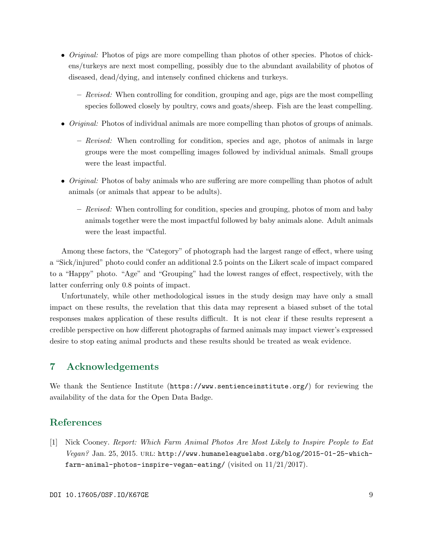- *Original:* Photos of pigs are more compelling than photos of other species. Photos of chickens/turkeys are next most compelling, possibly due to the abundant availability of photos of diseased, dead/dying, and intensely confined chickens and turkeys.
	- Revised: When controlling for condition, grouping and age, pigs are the most compelling species followed closely by poultry, cows and goats/sheep. Fish are the least compelling.
- *Original:* Photos of individual animals are more compelling than photos of groups of animals.
	- Revised: When controlling for condition, species and age, photos of animals in large groups were the most compelling images followed by individual animals. Small groups were the least impactful.
- *Original:* Photos of baby animals who are suffering are more compelling than photos of adult animals (or animals that appear to be adults).
	- Revised: When controlling for condition, species and grouping, photos of mom and baby animals together were the most impactful followed by baby animals alone. Adult animals were the least impactful.

Among these factors, the "Category" of photograph had the largest range of effect, where using a "Sick/injured" photo could confer an additional 2.5 points on the Likert scale of impact compared to a "Happy" photo. "Age" and "Grouping" had the lowest ranges of effect, respectively, with the latter conferring only 0.8 points of impact.

Unfortunately, while other methodological issues in the study design may have only a small impact on these results, the revelation that this data may represent a biased subset of the total responses makes application of these results difficult. It is not clear if these results represent a credible perspective on how different photographs of farmed animals may impact viewer's expressed desire to stop eating animal products and these results should be treated as weak evidence.

#### 7 Acknowledgements

We thank the Sentience Institute (https://www.sentienceinstitute.org/) for reviewing the availability of the data for the Open Data Badge.

## References

[1] Nick Cooney. Report: Which Farm Animal Photos Are Most Likely to Inspire People to Eat  $Vegan$ ? Jan. 25, 2015. URL: http://www.humaneleaguelabs.org/blog/2015-01-25-whichfarm-animal-photos-inspire-vegan-eating/ (visited on  $11/21/2017$ ).